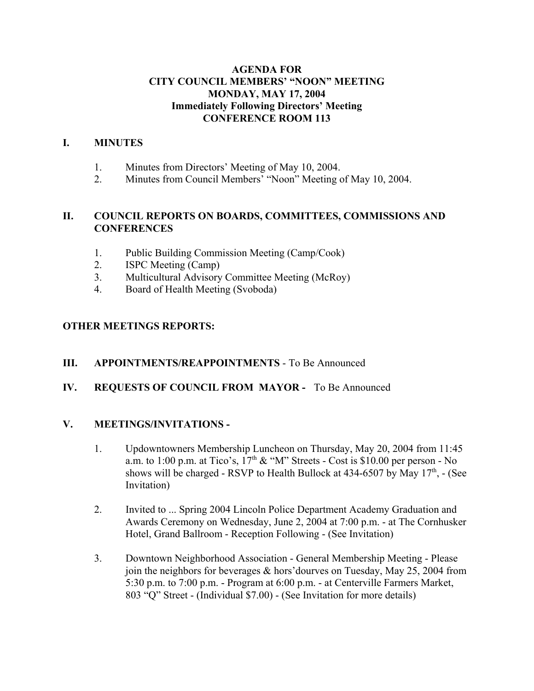## **AGENDA FOR CITY COUNCIL MEMBERS' "NOON" MEETING MONDAY, MAY 17, 2004 Immediately Following Directors' Meeting CONFERENCE ROOM 113**

#### **I. MINUTES**

- 1. Minutes from Directors' Meeting of May 10, 2004.
- 2. Minutes from Council Members' "Noon" Meeting of May 10, 2004.

#### **II. COUNCIL REPORTS ON BOARDS, COMMITTEES, COMMISSIONS AND CONFERENCES**

- 1. Public Building Commission Meeting (Camp/Cook)
- 2. ISPC Meeting (Camp)
- 3. Multicultural Advisory Committee Meeting (McRoy)
- 4. Board of Health Meeting (Svoboda)

## **OTHER MEETINGS REPORTS:**

## **III. APPOINTMENTS/REAPPOINTMENTS** - To Be Announced

## **IV. REQUESTS OF COUNCIL FROM MAYOR -** To Be Announced

#### **V. MEETINGS/INVITATIONS -**

- 1. Updowntowners Membership Luncheon on Thursday, May 20, 2004 from 11:45 a.m. to 1:00 p.m. at Tico's,  $17<sup>th</sup>$  & "M" Streets - Cost is \$10.00 per person - No shows will be charged - RSVP to Health Bullock at  $434-6507$  by May  $17<sup>th</sup>$ ,  $\overline{\phantom{a}}$  (See Invitation)
- 2. Invited to ... Spring 2004 Lincoln Police Department Academy Graduation and Awards Ceremony on Wednesday, June 2, 2004 at 7:00 p.m. - at The Cornhusker Hotel, Grand Ballroom - Reception Following - (See Invitation)
- 3. Downtown Neighborhood Association General Membership Meeting Please join the neighbors for beverages & hors'dourves on Tuesday, May 25, 2004 from 5:30 p.m. to 7:00 p.m. - Program at 6:00 p.m. - at Centerville Farmers Market, 803 "Q" Street - (Individual \$7.00) - (See Invitation for more details)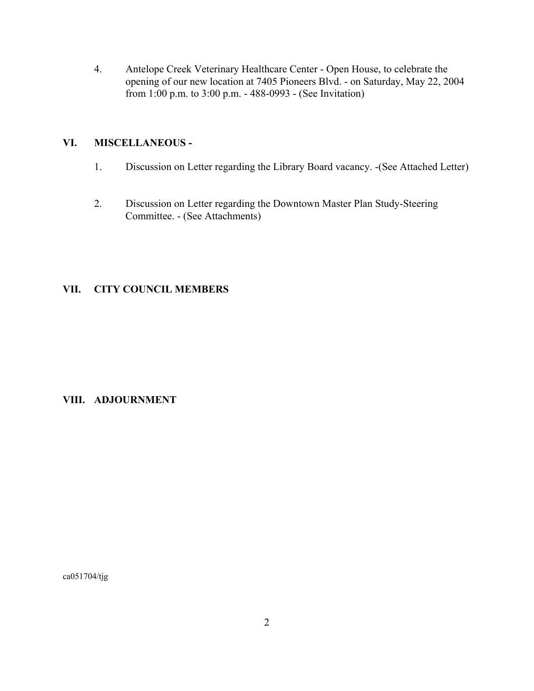4. Antelope Creek Veterinary Healthcare Center - Open House, to celebrate the opening of our new location at 7405 Pioneers Blvd. - on Saturday, May 22, 2004 from 1:00 p.m. to 3:00 p.m. - 488-0993 - (See Invitation)

### **VI. MISCELLANEOUS -**

- 1. Discussion on Letter regarding the Library Board vacancy. -(See Attached Letter)
- 2. Discussion on Letter regarding the Downtown Master Plan Study-Steering Committee. - (See Attachments)

## **VII. CITY COUNCIL MEMBERS**

## **VIII. ADJOURNMENT**

ca051704/tjg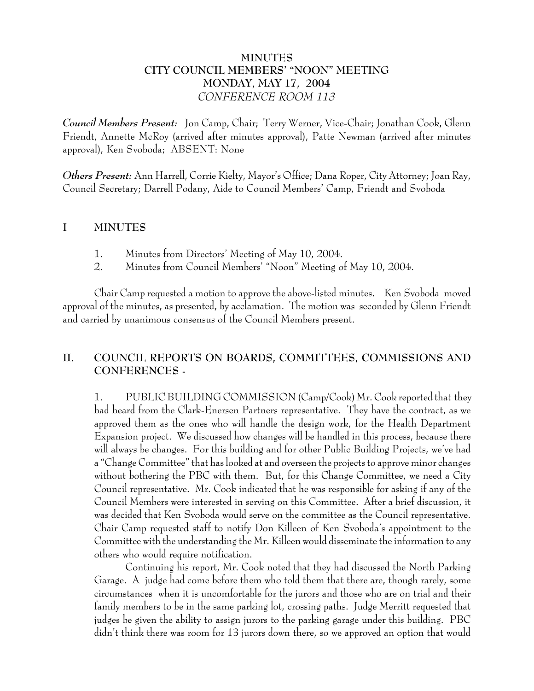# **MINUTES CITY COUNCIL MEMBERS' "NOON" MEETING MONDAY, MAY 17, 2004** *CONFERENCE ROOM 113*

*Council Members Present:* Jon Camp, Chair; Terry Werner, Vice-Chair; Jonathan Cook, Glenn Friendt, Annette McRoy (arrived after minutes approval), Patte Newman (arrived after minutes approval), Ken Svoboda; ABSENT: None

*Others Present:* Ann Harrell, Corrie Kielty, Mayor's Office; Dana Roper, City Attorney; Joan Ray, Council Secretary; Darrell Podany, Aide to Council Members' Camp, Friendt and Svoboda

#### **I MINUTES**

- 1. Minutes from Directors' Meeting of May 10, 2004.
- 2. Minutes from Council Members' "Noon" Meeting of May 10, 2004.

Chair Camp requested a motion to approve the above-listed minutes. Ken Svoboda moved approval of the minutes, as presented, by acclamation. The motion was seconded by Glenn Friendt and carried by unanimous consensus of the Council Members present.

# **II. COUNCIL REPORTS ON BOARDS, COMMITTEES, COMMISSIONS AND CONFERENCES -**

1. PUBLIC BUILDING COMMISSION (Camp/Cook) Mr. Cook reported that they had heard from the Clark-Enersen Partners representative. They have the contract, as we approved them as the ones who will handle the design work, for the Health Department Expansion project. We discussed how changes will be handled in this process, because there will always be changes. For this building and for other Public Building Projects, we've had a "Change Committee" that has looked at and overseen the projects to approve minor changes without bothering the PBC with them. But, for this Change Committee, we need a City Council representative. Mr. Cook indicated that he was responsible for asking if any of the Council Members were interested in serving on this Committee. After a brief discussion, it was decided that Ken Svoboda would serve on the committee as the Council representative. Chair Camp requested staff to notify Don Killeen of Ken Svoboda's appointment to the Committee with the understanding the Mr. Killeen would disseminate the information to any others who would require notification.

Continuing his report, Mr. Cook noted that they had discussed the North Parking Garage. A judge had come before them who told them that there are, though rarely, some circumstances when it is uncomfortable for the jurors and those who are on trial and their family members to be in the same parking lot, crossing paths. Judge Merritt requested that judges be given the ability to assign jurors to the parking garage under this building. PBC didn't think there was room for 13 jurors down there, so we approved an option that would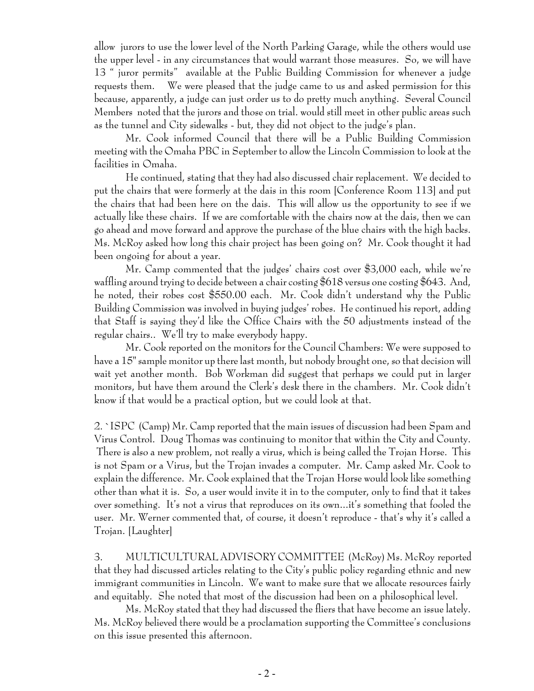allow jurors to use the lower level of the North Parking Garage, while the others would use the upper level - in any circumstances that would warrant those measures. So, we will have 13 " juror permits" available at the Public Building Commission for whenever a judge requests them. We were pleased that the judge came to us and asked permission for this because, apparently, a judge can just order us to do pretty much anything. Several Council Members noted that the jurors and those on trial. would still meet in other public areas such as the tunnel and City sidewalks - but, they did not object to the judge's plan.

Mr. Cook informed Council that there will be a Public Building Commission meeting with the Omaha PBC in September to allow the Lincoln Commission to look at the facilities in Omaha.

He continued, stating that they had also discussed chair replacement. We decided to put the chairs that were formerly at the dais in this room [Conference Room 113] and put the chairs that had been here on the dais. This will allow us the opportunity to see if we actually like these chairs. If we are comfortable with the chairs now at the dais, then we can go ahead and move forward and approve the purchase of the blue chairs with the high backs. Ms. McRoy asked how long this chair project has been going on? Mr. Cook thought it had been ongoing for about a year.

Mr. Camp commented that the judges' chairs cost over \$3,000 each, while we're waffling around trying to decide between a chair costing \$618 versus one costing \$643. And, he noted, their robes cost \$550.00 each. Mr. Cook didn't understand why the Public Building Commission was involved in buying judges' robes. He continued his report, adding that Staff is saying they'd like the Office Chairs with the 50 adjustments instead of the regular chairs.. We'll try to make everybody happy.

Mr. Cook reported on the monitors for the Council Chambers: We were supposed to have a 15" sample monitor up there last month, but nobody brought one, so that decision will wait yet another month. Bob Workman did suggest that perhaps we could put in larger monitors, but have them around the Clerk's desk there in the chambers. Mr. Cook didn't know if that would be a practical option, but we could look at that.

2. `ISPC (Camp) Mr. Camp reported that the main issues of discussion had been Spam and Virus Control. Doug Thomas was continuing to monitor that within the City and County. There is also a new problem, not really a virus, which is being called the Trojan Horse. This is not Spam or a Virus, but the Trojan invades a computer. Mr. Camp asked Mr. Cook to explain the difference. Mr. Cook explained that the Trojan Horse would look like something other than what it is. So, a user would invite it in to the computer, only to find that it takes over something. It's not a virus that reproduces on its own...it's something that fooled the user. Mr. Werner commented that, of course, it doesn't reproduce - that's why it's called a Trojan. [Laughter]

3. MULTICULTURAL ADVISORY COMMITTEE (McRoy) Ms. McRoy reported that they had discussed articles relating to the City's public policy regarding ethnic and new immigrant communities in Lincoln. We want to make sure that we allocate resources fairly and equitably. She noted that most of the discussion had been on a philosophical level.

Ms. McRoy stated that they had discussed the fliers that have become an issue lately. Ms. McRoy believed there would be a proclamation supporting the Committee's conclusions on this issue presented this afternoon.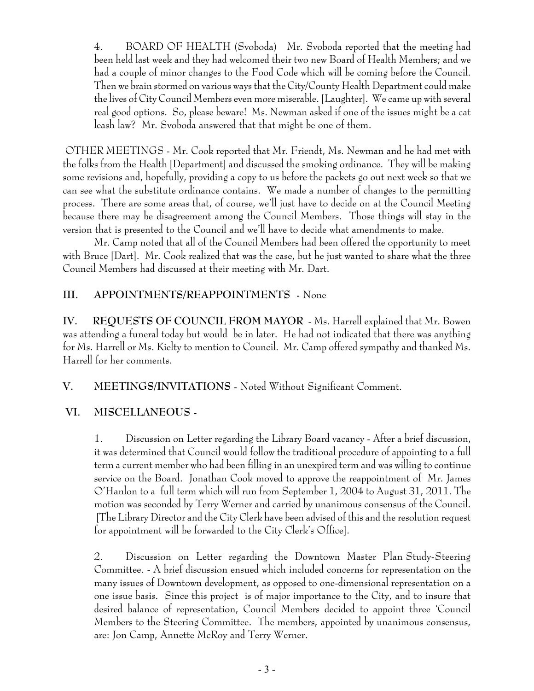4. BOARD OF HEALTH (Svoboda) Mr. Svoboda reported that the meeting had been held last week and they had welcomed their two new Board of Health Members; and we had a couple of minor changes to the Food Code which will be coming before the Council. Then we brain stormed on various ways that the City/County Health Department could make the lives of City Council Members even more miserable. [Laughter]. We came up with several real good options. So, please beware! Ms. Newman asked if one of the issues might be a cat leash law? Mr. Svoboda answered that that might be one of them.

 OTHER MEETINGS - Mr. Cook reported that Mr. Friendt, Ms. Newman and he had met with the folks from the Health [Department] and discussed the smoking ordinance. They will be making some revisions and, hopefully, providing a copy to us before the packets go out next week so that we can see what the substitute ordinance contains. We made a number of changes to the permitting process. There are some areas that, of course, we'll just have to decide on at the Council Meeting because there may be disagreement among the Council Members. Those things will stay in the version that is presented to the Council and we'll have to decide what amendments to make.

Mr. Camp noted that all of the Council Members had been offered the opportunity to meet with Bruce [Dart]. Mr. Cook realized that was the case, but he just wanted to share what the three Council Members had discussed at their meeting with Mr. Dart.

# **III. APPOINTMENTS/REAPPOINTMENTS -** None

**IV. REQUESTS OF COUNCIL FROM MAYOR** - Ms. Harrell explained that Mr. Bowen was attending a funeral today but would be in later. He had not indicated that there was anything for Ms. Harrell or Ms. Kielty to mention to Council. Mr. Camp offered sympathy and thanked Ms. Harrell for her comments.

**V. MEETINGS/INVITATIONS** - Noted Without Significant Comment.

# **VI. MISCELLANEOUS -**

1. Discussion on Letter regarding the Library Board vacancy - After a brief discussion, it was determined that Council would follow the traditional procedure of appointing to a full term a current member who had been filling in an unexpired term and was willing to continue service on the Board. Jonathan Cook moved to approve the reappointment of Mr. James O'Hanlon to a full term which will run from September 1, 2004 to August 31, 2011. The motion was seconded by Terry Werner and carried by unanimous consensus of the Council. [The Library Director and the City Clerk have been advised of this and the resolution request for appointment will be forwarded to the City Clerk's Office].

2. Discussion on Letter regarding the Downtown Master Plan Study-Steering Committee. - A brief discussion ensued which included concerns for representation on the many issues of Downtown development, as opposed to one-dimensional representation on a one issue basis. Since this project is of major importance to the City, and to insure that desired balance of representation, Council Members decided to appoint three 'Council Members to the Steering Committee. The members, appointed by unanimous consensus, are: Jon Camp, Annette McRoy and Terry Werner.